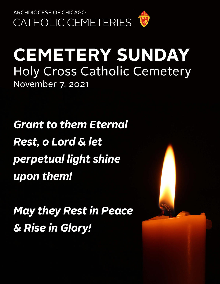

# **CEMETERY SUNDAY Holy Cross Catholic Cemetery** November 7, 2021

**Grant to them Eternal Rest, o Lord & let** perpetual light shine upon them!

**May they Rest in Peace** & Rise in Glory!

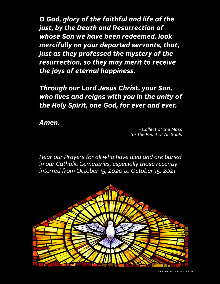O God, glory of the faithful and life of the just, by the Death and Resurrection of whose Son we have been redeemed, look mercifully on your departed servants, that, just as they professed the mystery of the resurrection, so they may merit to receive the joys of eternal happiness.

Through our Lord Jesus Christ, your Son, who lives and reigns with you in the unity of the Holy Spirit, one God, for ever and ever.

Amen.

- Collect of the Mass for the Feast of All Souls

Hear our Prayers for all who have died and are buried in our Catholic Cemeteries, especially those recently interred from October 15, 2020 to October 15, 2021.

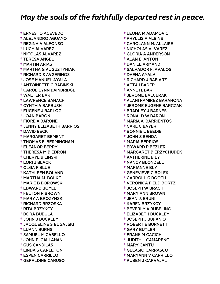† ERNESTO ACEVEDO † ALEJANDRO AGUAYO † REGINA A ALFONSO † LUCY ALVAREZ † NICOLAS ALVAREZ † TERESA ANGEL † MARTIN ARIAS † MARTHA G AUGUSTYNIAK † RICHARD S AVGERINOS † JOSE MANUEL AYALA † ANTOINETTE C BABINSKI † CAROL LYNN BAINBRIDGE † WALTER BAK † LAWRENCE BANACH † CYNTHIA BARBUSH † EUGENE J BARLOG † JOAN BARON † FIORE A BARONE † JENNY ELIZABETH BARRIOS † DAVID BECK † MARGARET BEMENT † THOMAS E. BERMINGHAM † ELEANOR BERRY † THERESA M BIEDRON † CHERYL BILINSKI † LORI J BLACK † OLGA F BLUE † KATHLEEN BOLAND † MARTHA M. BOLKE † MARIE B BOROWSKI † EDWARD BOYLE † FELTON R BROWN † MARY A BROZYNSKI † RICHARD BRZOSKA † RITA BRZYKCY † DORA BUBULA † JOHN J BUCKLEY † JACQUELINE S BUGAJSKI † LUANN BURNS † SAMUEL M CABELLO † JOHN P. CALLAHAN † GUS CANDILAS † LINDA S CARLETON † ESPEN CARRILLO † GERALDINE CARUSO

 † LEONA M ADAMOVIC † PHYLLIS A ALBINS † CAROLANN M. ALLAIRE † NICHOLAS ALVAREZ † GLORIA A ANDERSON † ALAN E. ANTON † DANIEL ARMAND † SALVADOR F. AVALOS † DAENA AYALA † RICHARD J BABIARZ † ATTA I BADER † ANNE H. BAK † JEROME BALCERAK † ALANI RAMIREZ BARAHONA † JEROME EUGENE BARCZAK † BRADLEY J BARNES † RONALD W BARON † MARIA A. BARRIENTOS † CARL C BAYER † BONNIE L BEEDIE † JOHN S BENDA † MARIA BERRIOS † EDWARD P BEZLER † MARGARET BIERZYCHUDEK † KATHERINE BILY † NANCY BLONDELL † MARIANNE BLY † GENEVIEVE C BOLEK † CARROLL G BOOTH † VERONICA FIELD BORTZ † JOSEPH W BRACH † MARY ANN BROWN † JEAN J. BRUNI † KAREN BRZYKCY † BEVERLY A BUBELING † ELIZABETH BUCKLEY † JOSEPH J BUFANIO † ROBERT E BURNETT † GARY BUTLER † FRANK M CACICH † JUDITH L CAMARENO † MARY CANTU † GELASIO CARRASCO

- † MARYANN V CARRILLO
- † RUBEN J CARVAJAL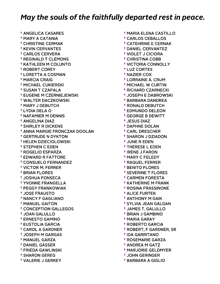† ANGELICA CASARES † MARY A CATANIA † CHRISTINE CERMAK † KEVIN CERVANTES † CARLOS CERVERA † REGINALD T CLEMONS † KATHLEEN M COLUNTO † ROBERT COREY † LORETTA A COSMAN † MARCIA CRAIG † MICHAEL CUKIERSKI † SUSAN T CZAPALA † EUGENE M CZERNIEJEWSKI † WALTER DACZKOWSKI † MARY J DEBUTCH † LYDIA DELA O † NAFAMIER M DENNIS † ANGELINA DIAZ † SHIRLEY R DICKENS † ANNA MARGIE FRONCZAK DOOLAN † GERTRUDE N DYKTON † HELEN DZIECIOLOWSKI † STEPHEN C EDEN † ROGELIO ESPARZA † EDWARD R FATTORE † CONSUELO FERNANDEZ † VICTOR M. FERRER † BRIAN FLORES † JOSHUA FONSECA † YVONNE FRANGELLA † PEGGY FRANKOWIAK † JOSE FRAUSTO † NANCY F GAGLIANO † MANUEL GAITON † CONCEPTION GALLEGOS † JOAN GALULLO † ERNESTO GAMINO † EUSTOLIA GARCIA † CAROL A GARDNER † JOSEPH M GARGAS † MANUEL GARZA † DANIEL GASSER † FRIEDA GAWLINSKI † SHARON GEREG † VALERIE J GERKEY

 † MARIA ELENA CASTILLO † CARLOS CEBALLOS † CATEHRINE E CERNAK † DANIEL CERVANTEZ † VIOLET J CICIORA † CHRISTINA COBB † VICTORIA CONNOLLY † LUZ CORTES † NAZIER COX † LORRAINE A. CRUM † MICHAEL W CURTIN † RICHARD CZARNECKI † JOSEPH E DABROWSKI † BARBARA DANDREA † RONALD DEBUTCH † EDMUNDO DELEON † GEORGE B DEWITT † JESUS DIAZ † DAPHNE DOLAN † CARL DRESCHER † SHARON J DZIADON † JUNE R EDEN † THERESE L EDEN † IRENE J FARON † MARY C FELEDY † RAQUEL FERRER † BENITO FLORES † SEVERINE T FLORES † CARMEN FORESTA † KATHERINE M FRANK † ROSINA FRASSINONE † ALICE FURTEK † ANTHONY M GAIK † SYLVIA JEAN GALGAN † JAMES T. GALULLO † BRIAN J GAMBINO † MARIA GARAY † ROBERTO GARCIA † ROBERT, F GARDNER, SR † IDA GARRITANO † ROSEMARIE GARZA † ANDREA M GATZ † MARJORIE GELDMYER † JOHN GERINGER

† BARBARA A GIGLIO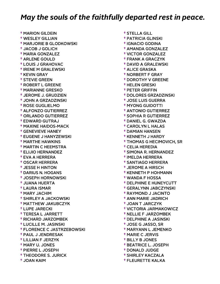† MARION GILDEIN † WESLEY GILLIAN † MARJORIE B GLODKOWSKI † JACOB J GOLICH † MARIA GONZALEZ † ARLENE GOULD † LOUIS J GRAHOVAC † IRENE M GRALEWSKI † KEVIN GRAY † STEVIE GREEN † ROBERT L GREENE † MARIANNE GRESKO † JEROME J. GRUDZIEN † JOHN A GRZADZINSKI † ROSE GUGLIELMO † ALFONZO GUTIERREZ † ORLANDO GUTIERREZ † EDWARD GUTRAJ † MAXINE HAIDOS-MACK † GENEVIEVE HANEY † EUGENE J HANYZEWSKI † MARTHE HAWKINS † MARTIN C HEEMSTRA † ELIJIO HERNANDEZ † EVA A HERRERA † OSCAR HERRERA † JESSE H HINTON † DARIUS N. HOGANS † JOSEPH HORNOWSKI † JUANA HUERTA † LAURA ISMAR † MARY JACHIM † SHIRLEY A JACKOWSKI † MATTHEW JAKUBCZYK † LUPE JARECKI † TERESA L JARRETT † RICHARD JARZOMBEK † LUCILLE M. JASINSKI † FLORENCE C JASTRZEBOWSKI † PAUL J JENDRESAK † LILLIAN F JERZYK † MARY U. JONES † PIERRE L JOSEPH † THEODORE S. JURICK † JOAN KAIM

 † STELLA GILL † PATRICIA GLINSKI † IGNACIO GODINA † AMANDA GONZALEZ † VICTOR GONZALEZ † FRANK A GRACZYK † DAVID A GRALEWSKI † ALICE GRASKA † NORBERT F GRAY † DOROTHY V GREENE † HELEN GRESKI † PETER GRIFFIN † DOLORES GRZADZINSKI † JOSE LUIS GUERRA † MYONG GUIDOTTI † ANTONIO GUTIERREZ † SOPHIA R GUTIERREZ † DANIEL G. GWAZDA † CAROLYN L HALAS † DAMIAN HANSEN † KENNETH J HARDY † THOMAS G HECIMOVICH, SR † CELIA HEREDIA † SIMONA R. HERNANDEZ † IMELDA HERRERA † SANTIAGO HERRERA † JEROME A HIRSCH † KENNETH P HOHMANN † WANDA F HOSSA † DELPHINE E HUNEYCUTT † GERALYNN JABCZYNSKI † RAYMOND J JACINTO † ANN MARIE JADRICH † JOAN T JARCZYK † VICTORIA JARMAKOWICZ † NELLIE F JARZOMBEK † DELPHINE A JASINSKI † JOSE G JASSO, SR † MARYANN L JEMENKO † MARIE C JERVIS † BILLY B JONES † BEATRICE L. JOSEPH † DONALD JUDGE † SHIRLEY KACZALA

† FLEURETTE KALKA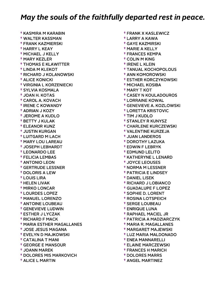† KASMIRA M KARABIN † WALTER KASSMAN † FRANK KAZMIERSKI † HARRY L KEAY † MICHAEL J KELLY † MARY KEZLER † THOMAS E KLAWITTER † LINDA M KLEKOT † RICHARD J KOLANOWSKI † ALICE KONICKI † VIRGINIA L KORZENIECKI † SYLVIA KOSMALA † JOAN H. KOTAS † CAROL A. KOVACH † IRENE C KOWANDY † ADRIAN J KOZY † JEROME A KUDLO † BETTY J KULAK † ELEANOR KUNZ † JUSTIN KURGAN † LUITGARD M LACH † MARY LOU LAREAU † JOSEPH LEBHARDT † LEONARDO LEE † FELICIA LEMBAS † ANTONIO LEON † GERTRUDE LESSNER † DOLORIS A LEW † LOUIS LIRA † HELEN LIVAK † MIRKO LONCAR † LOURDES LOPEZ † MANUEL LORENZO † ANTOINE LOUBEAU † GENEVIEVE LUDWIN † ESTHER J LYCZAK † RICHARD F MACK † MARIA ESTHER MAGALLANES † JOSE JESUS MAGANA † EVELYN D MAJKOWSKI † CATALINA T MANI † GEORGE E MANSOUR † JOANN MAREK † DOLORES MIS MARKOVICH † ALICE L MARTIN

 † FRANK X KASLEWICZ † LARRY A KAWA † GAYE KAZMIRSKI † MARIE A KELLY † FRANCES KEMPA † COLIN M KING † IRENE L KLEIN † TANUAL KOCHOPOLOUS † ANN KOMOROWSKI † ESTHER KORCZYKOWSKI † MICHAEL KOSIBA † MARY T KOT † CASEY N KOULADOUROS † LORRAINE KOWAL † GENEVIEVE A. KOZLOWSKI † LORETTA KRISTOVIC † TIM J KUDLO † STANLEY R KUNYSZ † CHARLENE KURCZEWSKI † VALENTINE KURZEJA † JUAN LANDEROS † DOROTHY LAZUKA † EDWIN F LEBRYK † EDMUND LELITO † KATHERYNE L LENARD † JOYCE LEOUSES † NORMA M LESSNER † PATRICIA E LINDSEY † DANIEL LISEK † RICHARD J LOBIANCO † GUADALUPE F LOPEZ † SOPHIE D. LORENT † ROSINA LOTSPEICH † SERGE LOUBEAU † ENRIQUE LUNA † RAPHAEL MACIEL JR † PATRICIA A MADZIARCZYK † MARIA R. MAGALLANES † MARGARET MAJEWSKI † LUZ MARIA MALDONADO † ENEA MANNARELLI † ELAINE MARCZEWSKI † FRANCES H MARICH † DOLORES MARRS

† ANGEL MARTINEZ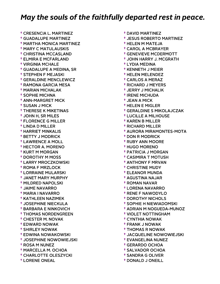† CRESENCIA L. MARTINEZ † GUADALUPE MARTINEZ † MARTHA MONICA MARTINEZ † MARY C MATULAUSKIS † CHRISTINA MCCASLAND † ELMIRA E MCFARLAND † VIRGINIA MCHALE † GUADALUPE A MEDINA, SR † STEPHEN F MEJASKI † GERALDINE MENCLEWICZ † RAMONA GARCIA MESA † MARIAN MICHALAK † SOPHIE MICHNA † ANN-MARGRET MICK † SUSAN J MICK † THERESE K MIKETINAS † JOHN H, SR MILES † FLORENCE G MILLER † LINDA D MILLER † HARRIET MINKALIS † BETTY J MODRICK † LAWRENCE A MOLL † HECTOR A. MORENO † KURT M MORGAN † DOROTHY M MOSS † LARRY MROCZKOWSKI † ROMA F MRZLOCK † LORRAINE MULARSKI † JANET MARY MURPHY † MILDRED NAPOLSKI † JAIME NAVARRO † MARIA I NAVARRO † KATHLEEN NAZIMEK † JOSEPHINE NIECKULA † BARBARA E NINKOVICH † THOMAS NORDENGREEN † CHESTER M. NOVAK † EDWARD NOWAK † SHIRLEY NOWAK † EDWINA NOWAKOWSKI † JOSEPHINE NOWOWIEJSKI † ROSA M NUNEZ † MARCELLA M. OCHOA † CHARLOTTE OLESZYCKI † LORENE ONEAL

- † DAVID MARTINEZ
- † JESUS ROBERTO MARTINEZ
- † HELEN M MATEJA
- † CAROL A MCBRAYER
- † GENEVIEVE MCDERMOTT
- † JOHN HARRY J. MCGRATH
- † LYDIA MEDINA
- † KENNETH J MEIER
- † HELEN MELENDEZ
- † CARLOS A MERAZ
- † RICHARD J MEYERS
- † JERRY J MICHALIK
- † IRENE MICHUDA
- † JEAN A MICK
- † HELEN E MIGLER
- † GERALDINE S MIKOLAJCZAK
- † LUCILLE A MILHOUSE
- † KAREN B MILLER
- † RICHARD MILLER
- † AURORA MIRAMONTES-MOTA
- † DON R MODRICK
- † RUBY ANN MOORE
- † HUGO MORENO
- † PATRICIA J MORGAN
- † CASIMIRA T MOTUSH
- † ANTHONY F MRVAN
- † CHRISTINE MUDY
- † ELEANOR MUNDA
- † AGUSTINA NAJAR
- † ROMAN NAVAR
- † LORENA NAVARRO
- † RENE F NAWODYLO
- † DOROTHY NICHOLS
- † SOPHIE H NIEWIADOMSKI
- † ADRIAN M NOGUEDA-MUNOZ
- † VIOLET NOTTINGHAM
- † CYNTHIA NOWAK
- † FRANK J NOWAK
- † THOMAS R NOWAK
- † JACQUELINE NOWOWIEJSKI
- † EVANGELINA NUNEZ
- † GERARDO OCHOA
- † SALVADOR OCHOA
- † SANDRA G OLIVER
- † DONALD J ONEILL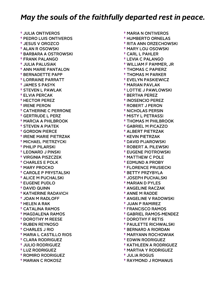† JULIA ONTIVEROS † PEDRO LUIS ONTIVEROS † JESUS V OROZCO † ALAN R OSOWSKI † BARBARA A OSTROWSKI † FRANK PALANGO † JULIA PALUSIAK † ANN MARIE PANTALON † BERNADETTE PAPP † LORRAINE PARRATT † JAMES S PASYK † STEVEN L PAWLAK † ELVIA PERCAK † HECTOR PEREZ † IRENE PERON † CATHERINE C PERRONE † GERTRUDE L PERZ † MARCIA A PHILBROOK † STEVEN A PIATEK † GORDON PIERCE † IRENE MARIE PIETRZAK † MICHAEL PIETRZYCKI † PHILIP PILARSKI † LEONARD J PINSKI † VIRGINIA PISZCZEK † CHARLES E POLK † MARY PROCKO † CAROLE P PRYSTALSKI † ALICE M PUCHALSKI † EUGENE PUDLO † DAVID QUINN † KATHERINE RADAVICH † JOAN M RADLOFF † HELEN A RAK † CATALINA RAMOS † MAGDALENA RAMOS † DOROTHY M REESE † RUBEN REYNOSO † CHARLES J RIO † MARIA L CASTILLO RIOS † CLARA RODRIGUEZ † JULIO RODRIGUEZ † LUZ RODRIGUEZ † ROMIRO RODRIGUEZ † MARIAN C ROKOSZ

 † MARIA N ONTIVEROS † HUMBERTO ORNELAS † RITA ANN ORZECHOWSKI † MARY LOU OSOWSKI † CARL L PAHLER † LEVIA C PALANGO † WILLIAM F PAMMER, JR † THOMAS C PAPIERZ † THOMAS M PARKER † EVELYN PASKIEWICZ † MARIAN PAVLAK † LOTTIE J PAWLOWSKI † BERTHA PEREZ † INOSENCIO PEREZ † ROBERT J PERON † NICHOLAS PERSIN † MISTY L PETRASSI † THOMAS M PHILBROOK † GABRIEL M PICAZZO † ALBERT PIETRZAK † KEVIN PIETRZAK † DAVID PIJAROWSKI † ROBERT A. PILEWSKI † EUGENE PIOTROWSKI † MATTHEW C POLE † EDMUND A PROBY † FLORENCE PRUSIECKI † BETTY PRZYBYLA † JOSEPH PUCHALSKI † MARIAN D PYLES † ANGELINE RACZAK † ANNE M RADDE † ANGELINE V RADOWSKI † JUAN P RAMIREZ † FRANCISCO RAMOS † GABRIEL RAMOS-MENDEZ † DOROTHY F RETIS † PAULETTE RICHWALSKI † BERNARD A RIORDAN † MARYANN ROCHOWIAK † EDWIN RODRIGUEZ † KATHLEEN A RODRIGUEZ † MARTHA Y RODRIGUEZ † JULIA ROGUS

† RAYMOND J ROMANUS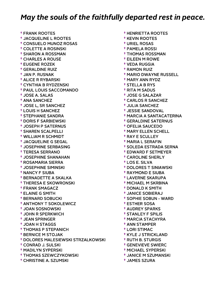† FRANK ROOTES † JACQUELINE L ROOTES † CONSUELO MUNOZ ROSAS † COLETTE A ROSINSKI † SHARON A ROSSMAN † CHARLES A ROUSE † EUGENE ROZEK † GERALDINE RUIZ † JAN P. RUSNAK † ALICE R RYBARSKI † CYNTHIA B RYDZENSKI † PAUL LOUIS SACCOMANDO † JOSE A. SALAS † ANA SANCHEZ † JOSE L, SR SANCHEZ † LOUIS H SANCHEZ † STEPHANIE SANDRA † DORIS F SARBIEWSKI † JOSEPH P SATERNUS † SHAREN SCALPELLI † WILLIAM R SCHMIDT † JACQUELINE G SEGAL † JOSEPHINE SERBASING † TERESA SERRANO † JOSEPHINE SHANAHAN † ROSAMARIA SIERRA † JOSEPHINE SIMINSKI † NANCY F SIUBA † BERNADETTE A SKALKA † THERESA E SKOWRONSKI † FRANK SMAGACZ † ELAINE G SMITH † BERNARD SOBUCKI † ANTHONY T SOKOLEWICZ † JOAN SOSNOWSKI † JOHN R SPERKWICH † JEAN SPRINGER † JOAN H STAGGS † THOMAS P STEPANICH † BERNICE M STOJAK † DOLORES MALESIEWSKI STRZALKOWSKI † CONRAD J. SULSKI † MADILYN SYPERSKI † THOMAS SZEWCZYKOWSKI † CHRISTINE A. SZUMSKI

 † HENRIETTA ROOTES † KEVIN ROOTES † URIEL ROSAS † PAMELA ROSSI † THOMAS ROSSMAN † EILEEN M ROWE † VEDA RUGGIA † RAMON RUIZ † MARIO DWAYNE RUSSELL † MARY ANN RYDZ † STELLA B RYS † RITA M SADUS † JOSE G SALAZAR † CARLOS R SANCHEZ † JULIA SANCHEZ † JESSIE SANDOVAL † MARCIA A SANTACATERINA † GERALDINE SATERNUS † OFELIA SAUCEDO † MARY ELLEN SCHELL † RAY E SCULLEY † MARIA L SERAFIN † SOLEDA ESTRADA SERNA † EDWARD F SETMEYER † CAROLINE SHERLY † LOS E. SILVA † DOLORES T SINIAWSKI † RAYMOND E SIUBA † LAVERNE SKARUPA † MICHAEL M SKRBINA † DONALD K SMITH † JANICE SOBIERAJ † SOPHIE SOBUN - WARD † ESTHER SOSA † AUDREY SPARKS † STANLEY F SPILIS † MARCIA STACHYRA † ANN STAMPER † LORI STIMAC † KYLE J STRICKLAND † RUTH B. STURGIS † GENEVIEVE SWIERC † MICHAEL SYPERSKI † JANICE M SZUMANSKI

† JAMES SZURA